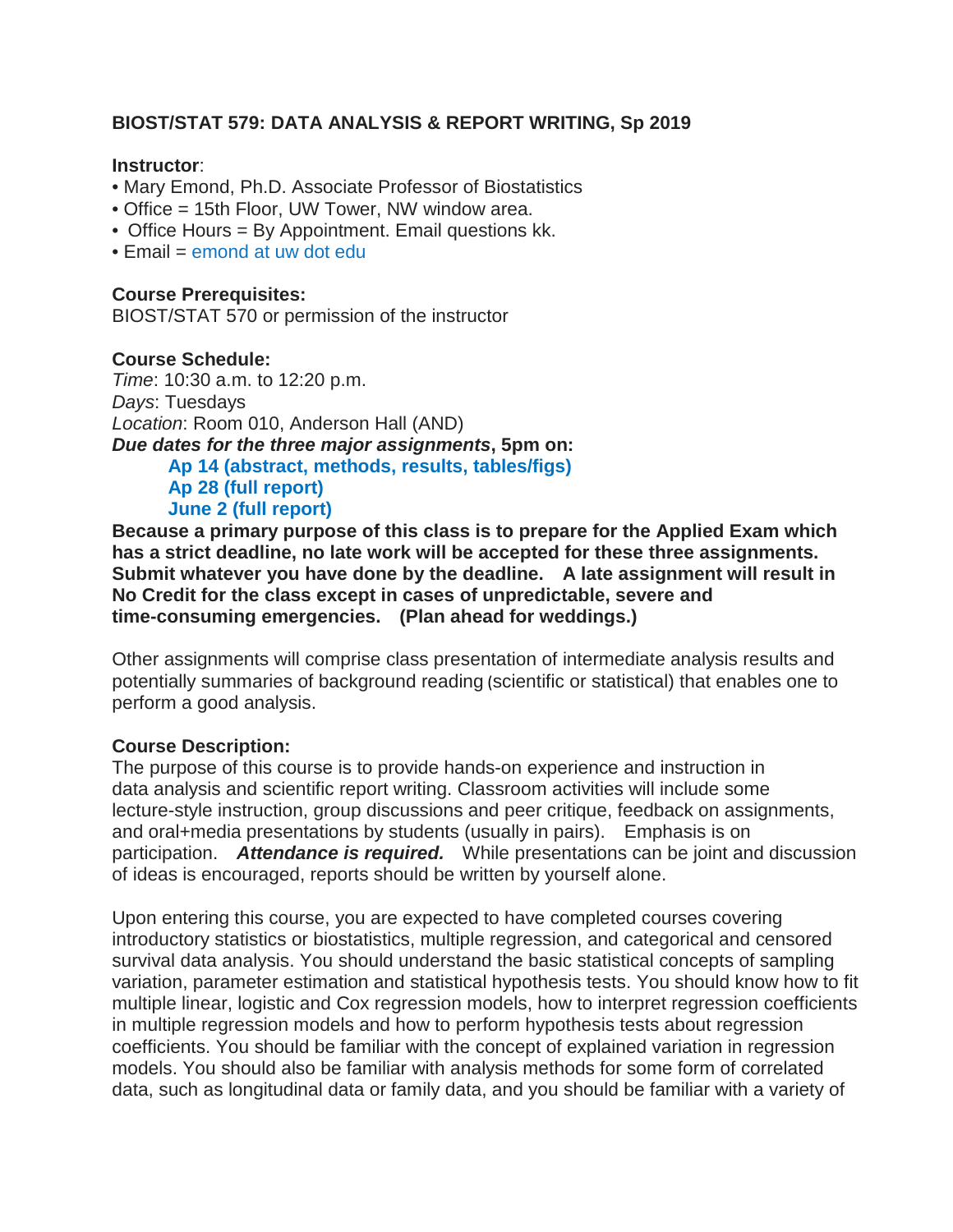# **BIOST/STAT 579: DATA ANALYSIS & REPORT WRITING, Sp 2019**

#### **Instructor**:

- Mary Emond, Ph.D. Associate Professor of Biostatistics
- Office = 15th Floor, UW Tower, NW window area.
- Office Hours = By Appointment. Email questions kk.
- $\bullet$  Fmail = emond at uw dot edu

## **Course Prerequisites:**

BIOST/STAT 570 or permission of the instructor

## **Course Schedule:**

*Time*: 10:30 a.m. to 12:20 p.m. *Days*: Tuesdays *Location*: Room 010, Anderson Hall (AND) *Due dates for the three major assignments***, 5pm on: Ap 14 (abstract, methods, results, tables/figs) Ap 28 (full report) June 2 (full report)**

**Because a primary purpose of this class is to prepare for the Applied Exam which has a strict deadline, no late work will be accepted for these three assignments. Submit whatever you have done by the deadline. A late assignment will result in No Credit for the class except in cases of unpredictable, severe and time-consuming emergencies. (Plan ahead for weddings.)**

Other assignments will comprise class presentation of intermediate analysis results and potentially summaries of background reading (scientific or statistical) that enables one to perform a good analysis.

## **Course Description:**

The purpose of this course is to provide hands-on experience and instruction in data analysis and scientific report writing. Classroom activities will include some lecture-style instruction, group discussions and peer critique, feedback on assignments, and oral+media presentations by students (usually in pairs). Emphasis is on participation. *Attendance is required.* While presentations can be joint and discussion of ideas is encouraged, reports should be written by yourself alone.

Upon entering this course, you are expected to have completed courses covering introductory statistics or biostatistics, multiple regression, and categorical and censored survival data analysis. You should understand the basic statistical concepts of sampling variation, parameter estimation and statistical hypothesis tests. You should know how to fit multiple linear, logistic and Cox regression models, how to interpret regression coefficients in multiple regression models and how to perform hypothesis tests about regression coefficients. You should be familiar with the concept of explained variation in regression models. You should also be familiar with analysis methods for some form of correlated data, such as longitudinal data or family data, and you should be familiar with a variety of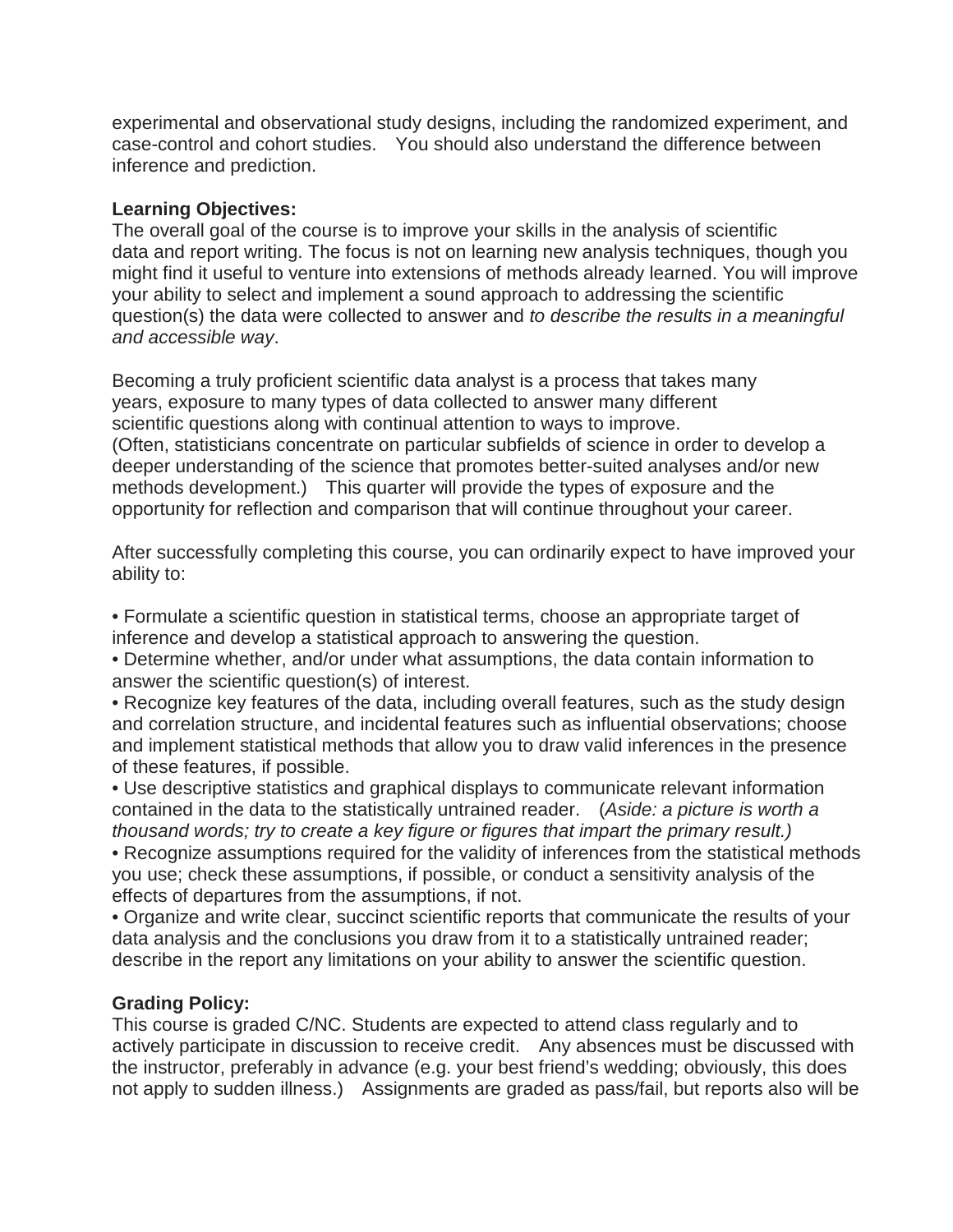experimental and observational study designs, including the randomized experiment, and case-control and cohort studies. You should also understand the difference between inference and prediction.

## **Learning Objectives:**

The overall goal of the course is to improve your skills in the analysis of scientific data and report writing. The focus is not on learning new analysis techniques, though you might find it useful to venture into extensions of methods already learned. You will improve your ability to select and implement a sound approach to addressing the scientific question(s) the data were collected to answer and *to describe the results in a meaningful and accessible way*.

Becoming a truly proficient scientific data analyst is a process that takes many years, exposure to many types of data collected to answer many different scientific questions along with continual attention to ways to improve. (Often, statisticians concentrate on particular subfields of science in order to develop a deeper understanding of the science that promotes better-suited analyses and/or new methods development.) This quarter will provide the types of exposure and the opportunity for reflection and comparison that will continue throughout your career.

After successfully completing this course, you can ordinarily expect to have improved your ability to:

• Formulate a scientific question in statistical terms, choose an appropriate target of inference and develop a statistical approach to answering the question.

• Determine whether, and/or under what assumptions, the data contain information to answer the scientific question(s) of interest.

• Recognize key features of the data, including overall features, such as the study design and correlation structure, and incidental features such as influential observations; choose and implement statistical methods that allow you to draw valid inferences in the presence of these features, if possible.

• Use descriptive statistics and graphical displays to communicate relevant information contained in the data to the statistically untrained reader. (*Aside: a picture is worth a thousand words; try to create a key figure or figures that impart the primary result.)*

• Recognize assumptions required for the validity of inferences from the statistical methods you use; check these assumptions, if possible, or conduct a sensitivity analysis of the effects of departures from the assumptions, if not.

• Organize and write clear, succinct scientific reports that communicate the results of your data analysis and the conclusions you draw from it to a statistically untrained reader; describe in the report any limitations on your ability to answer the scientific question.

## **Grading Policy:**

This course is graded C/NC. Students are expected to attend class regularly and to actively participate in discussion to receive credit. Any absences must be discussed with the instructor, preferably in advance (e.g. your best friend's wedding; obviously, this does not apply to sudden illness.) Assignments are graded as pass/fail, but reports also will be